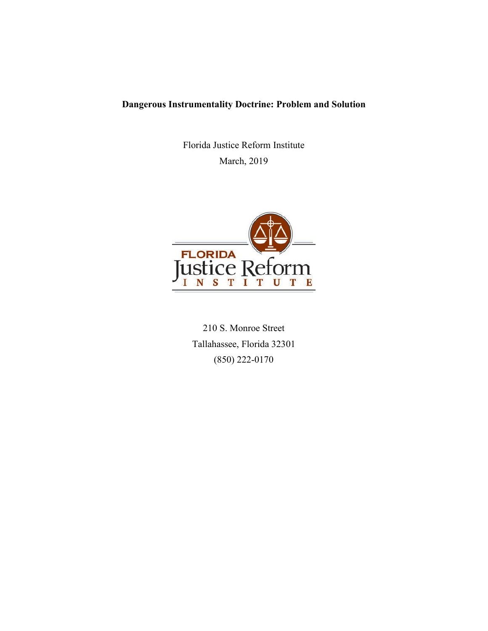# **Dangerous Instrumentality Doctrine: Problem and Solution**

Florida Justice Reform Institute March, 2019



210 S. Monroe Street Tallahassee, Florida 32301 (850) 222-0170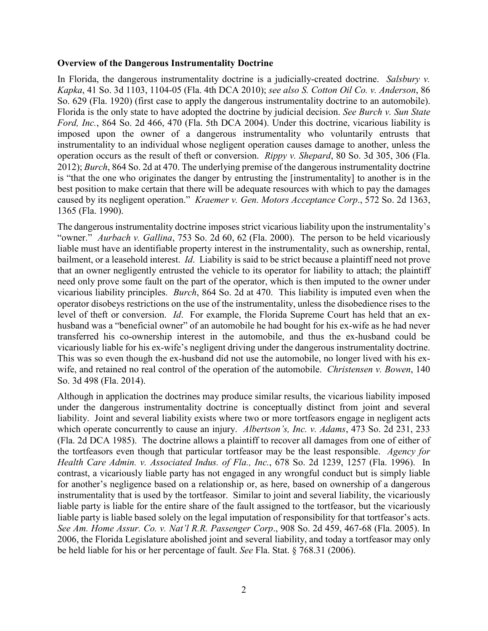#### **Overview of the Dangerous Instrumentality Doctrine**

In Florida, the dangerous instrumentality doctrine is a judicially-created doctrine. *Salsbury v. Kapka*, 41 So. 3d 1103, 1104-05 (Fla. 4th DCA 2010); *see also S. Cotton Oil Co. v. Anderson*, 86 So. 629 (Fla. 1920) (first case to apply the dangerous instrumentality doctrine to an automobile). Florida is the only state to have adopted the doctrine by judicial decision. *See Burch v. Sun State Ford, Inc.*, 864 So. 2d 466, 470 (Fla. 5th DCA 2004). Under this doctrine, vicarious liability is imposed upon the owner of a dangerous instrumentality who voluntarily entrusts that instrumentality to an individual whose negligent operation causes damage to another, unless the operation occurs as the result of theft or conversion. *Rippy v. Shepard*, 80 So. 3d 305, 306 (Fla. 2012); *Burch*, 864 So. 2d at 470. The underlying premise of the dangerous instrumentality doctrine is "that the one who originates the danger by entrusting the [instrumentality] to another is in the best position to make certain that there will be adequate resources with which to pay the damages caused by its negligent operation." *Kraemer v. Gen. Motors Acceptance Corp*., 572 So. 2d 1363, 1365 (Fla. 1990).

The dangerous instrumentality doctrine imposes strict vicarious liability upon the instrumentality's "owner." *Aurbach v. Gallina*, 753 So. 2d 60, 62 (Fla. 2000). The person to be held vicariously liable must have an identifiable property interest in the instrumentality, such as ownership, rental, bailment, or a leasehold interest. *Id*. Liability is said to be strict because a plaintiff need not prove that an owner negligently entrusted the vehicle to its operator for liability to attach; the plaintiff need only prove some fault on the part of the operator, which is then imputed to the owner under vicarious liability principles. *Burch*, 864 So. 2d at 470. This liability is imputed even when the operator disobeys restrictions on the use of the instrumentality, unless the disobedience rises to the level of theft or conversion. *Id*. For example, the Florida Supreme Court has held that an exhusband was a "beneficial owner" of an automobile he had bought for his ex-wife as he had never transferred his co-ownership interest in the automobile, and thus the ex-husband could be vicariously liable for his ex-wife's negligent driving under the dangerous instrumentality doctrine. This was so even though the ex-husband did not use the automobile, no longer lived with his exwife, and retained no real control of the operation of the automobile. *Christensen v. Bowen*, 140 So. 3d 498 (Fla. 2014).

Although in application the doctrines may produce similar results, the vicarious liability imposed under the dangerous instrumentality doctrine is conceptually distinct from joint and several liability. Joint and several liability exists where two or more tortfeasors engage in negligent acts which operate concurrently to cause an injury. *Albertson's, Inc. v. Adams*, 473 So. 2d 231, 233 (Fla. 2d DCA 1985). The doctrine allows a plaintiff to recover all damages from one of either of the tortfeasors even though that particular tortfeasor may be the least responsible. *Agency for Health Care Admin. v. Associated Indus. of Fla., Inc.*, 678 So. 2d 1239, 1257 (Fla. 1996). In contrast, a vicariously liable party has not engaged in any wrongful conduct but is simply liable for another's negligence based on a relationship or, as here, based on ownership of a dangerous instrumentality that is used by the tortfeasor. Similar to joint and several liability, the vicariously liable party is liable for the entire share of the fault assigned to the tortfeasor, but the vicariously liable party is liable based solely on the legal imputation of responsibility for that tortfeasor's acts. *See Am. Home Assur. Co. v. Nat'l R.R. Passenger Corp*., 908 So. 2d 459, 467-68 (Fla. 2005). In 2006, the Florida Legislature abolished joint and several liability, and today a tortfeasor may only be held liable for his or her percentage of fault. *See* Fla. Stat. § 768.31 (2006).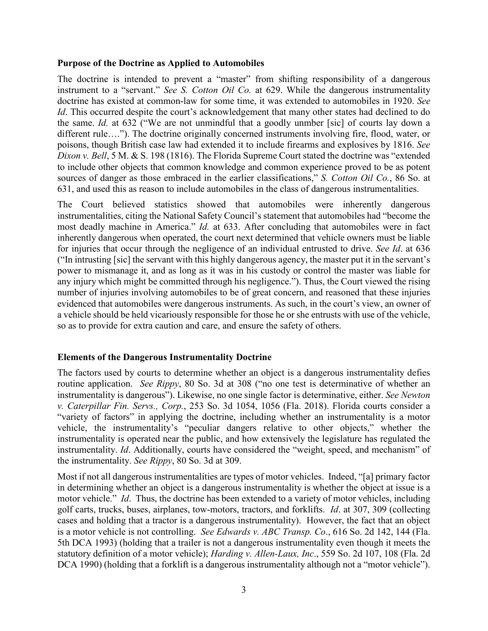#### **Purpose of the Doctrine as Applied to Automobiles**

The doctrine is intended to prevent a "master" from shifting responsibility of a dangerous instrument to a "servant." *See S. Cotton Oil Co.* at 629. While the dangerous instrumentality doctrine has existed at common-law for some time, it was extended to automobiles in 1920. *See Id*. This occurred despite the court's acknowledgement that many other states had declined to do the same. *Id.* at 632 ("We are not unmindful that a goodly unmber [sic] of courts lay down a different rule…."). The doctrine originally concerned instruments involving fire, flood, water, or poisons, though British case law had extended it to include firearms and explosives by 1816. *See Dixon v. Bell*, 5 M. & S. 198 (1816). The Florida Supreme Court stated the doctrine was "extended to include other objects that common knowledge and common experience proved to be as potent sources of danger as those embraced in the earlier classifications," *S. Cotton Oil Co.*, 86 So. at 631, and used this as reason to include automobiles in the class of dangerous instrumentalities.

The Court believed statistics showed that automobiles were inherently dangerous instrumentalities, citing the National Safety Council's statement that automobiles had "become the most deadly machine in America." *Id.* at 633. After concluding that automobiles were in fact inherently dangerous when operated, the court next determined that vehicle owners must be liable for injuries that occur through the negligence of an individual entrusted to drive. *See Id*. at 636 ("In intrusting [sic] the servant with this highly dangerous agency, the master put it in the servant's power to mismanage it, and as long as it was in his custody or control the master was liable for any injury which might be committed through his negligence."). Thus, the Court viewed the rising number of injuries involving automobiles to be of great concern, and reasoned that these injuries evidenced that automobiles were dangerous instruments. As such, in the court's view, an owner of a vehicle should be held vicariously responsible for those he or she entrusts with use of the vehicle, so as to provide for extra caution and care, and ensure the safety of others.

### **Elements of the Dangerous Instrumentality Doctrine**

The factors used by courts to determine whether an object is a dangerous instrumentality defies routine application. *See Rippy*, 80 So. 3d at 308 ("no one test is determinative of whether an instrumentality is dangerous"). Likewise, no one single factor is determinative, either. *See Newton v. Caterpillar Fin. Servs., Corp.*, 253 So. 3d 1054, 1056 (Fla. 2018). Florida courts consider a "variety of factors" in applying the doctrine, including whether an instrumentality is a motor vehicle, the instrumentality's "peculiar dangers relative to other objects," whether the instrumentality is operated near the public, and how extensively the legislature has regulated the instrumentality. *Id*. Additionally, courts have considered the "weight, speed, and mechanism" of the instrumentality. *See Rippy*, 80 So. 3d at 309.

Most if not all dangerous instrumentalities are types of motor vehicles. Indeed, "[a] primary factor in determining whether an object is a dangerous instrumentality is whether the object at issue is a motor vehicle." *Id*. Thus, the doctrine has been extended to a variety of motor vehicles, including golf carts, trucks, buses, airplanes, tow-motors, tractors, and forklifts. *Id*. at 307, 309 (collecting cases and holding that a tractor is a dangerous instrumentality). However, the fact that an object is a motor vehicle is not controlling. *See Edwards v. ABC Transp. Co*., 616 So. 2d 142, 144 (Fla. 5th DCA 1993) (holding that a trailer is not a dangerous instrumentality even though it meets the statutory definition of a motor vehicle); *Harding v. Allen-Laux, Inc*., 559 So. 2d 107, 108 (Fla. 2d DCA 1990) (holding that a forklift is a dangerous instrumentality although not a "motor vehicle").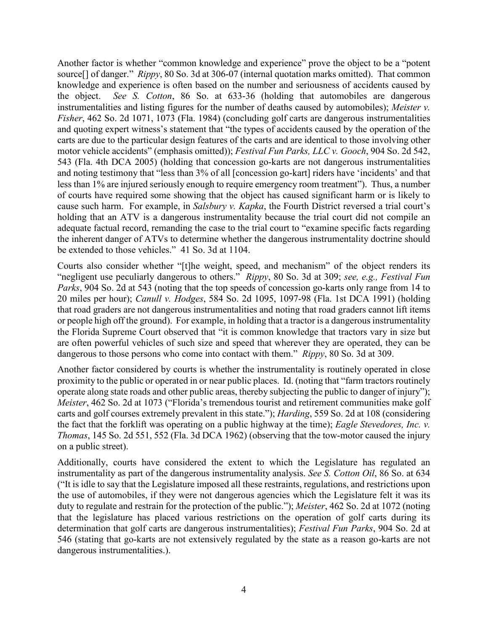Another factor is whether "common knowledge and experience" prove the object to be a "potent source[] of danger." *Rippy*, 80 So. 3d at 306-07 (internal quotation marks omitted). That common knowledge and experience is often based on the number and seriousness of accidents caused by the object. *See S. Cotton*, 86 So. at 633-36 (holding that automobiles are dangerous instrumentalities and listing figures for the number of deaths caused by automobiles); *Meister v. Fisher*, 462 So. 2d 1071, 1073 (Fla. 1984) (concluding golf carts are dangerous instrumentalities and quoting expert witness's statement that "the types of accidents caused by the operation of the carts are due to the particular design features of the carts and are identical to those involving other motor vehicle accidents" (emphasis omitted)); *Festival Fun Parks, LLC v. Gooch*, 904 So. 2d 542, 543 (Fla. 4th DCA 2005) (holding that concession go-karts are not dangerous instrumentalities and noting testimony that "less than 3% of all [concession go-kart] riders have 'incidents' and that less than 1% are injured seriously enough to require emergency room treatment"). Thus, a number of courts have required some showing that the object has caused significant harm or is likely to cause such harm. For example, in *Salsbury v. Kapka*, the Fourth District reversed a trial court's holding that an ATV is a dangerous instrumentality because the trial court did not compile an adequate factual record, remanding the case to the trial court to "examine specific facts regarding the inherent danger of ATVs to determine whether the dangerous instrumentality doctrine should be extended to those vehicles." 41 So. 3d at 1104.

Courts also consider whether "[t]he weight, speed, and mechanism" of the object renders its "negligent use peculiarly dangerous to others." *Rippy*, 80 So. 3d at 309; *see, e.g., Festival Fun Parks*, 904 So. 2d at 543 (noting that the top speeds of concession go-karts only range from 14 to 20 miles per hour); *Canull v. Hodges*, 584 So. 2d 1095, 1097-98 (Fla. 1st DCA 1991) (holding that road graders are not dangerous instrumentalities and noting that road graders cannot lift items or people high off the ground). For example, in holding that a tractor is a dangerous instrumentality the Florida Supreme Court observed that "it is common knowledge that tractors vary in size but are often powerful vehicles of such size and speed that wherever they are operated, they can be dangerous to those persons who come into contact with them." *Rippy*, 80 So. 3d at 309.

Another factor considered by courts is whether the instrumentality is routinely operated in close proximity to the public or operated in or near public places. Id. (noting that "farm tractors routinely operate along state roads and other public areas, thereby subjecting the public to danger of injury"); *Meister*, 462 So. 2d at 1073 ("Florida's tremendous tourist and retirement communities make golf carts and golf courses extremely prevalent in this state."); *Harding*, 559 So. 2d at 108 (considering the fact that the forklift was operating on a public highway at the time); *Eagle Stevedores, Inc. v. Thomas*, 145 So. 2d 551, 552 (Fla. 3d DCA 1962) (observing that the tow-motor caused the injury on a public street).

Additionally, courts have considered the extent to which the Legislature has regulated an instrumentality as part of the dangerous instrumentality analysis. *See S. Cotton Oil*, 86 So. at 634 ("It is idle to say that the Legislature imposed all these restraints, regulations, and restrictions upon the use of automobiles, if they were not dangerous agencies which the Legislature felt it was its duty to regulate and restrain for the protection of the public."); *Meister*, 462 So. 2d at 1072 (noting that the legislature has placed various restrictions on the operation of golf carts during its determination that golf carts are dangerous instrumentalities); *Festival Fun Parks*, 904 So. 2d at 546 (stating that go-karts are not extensively regulated by the state as a reason go-karts are not dangerous instrumentalities.).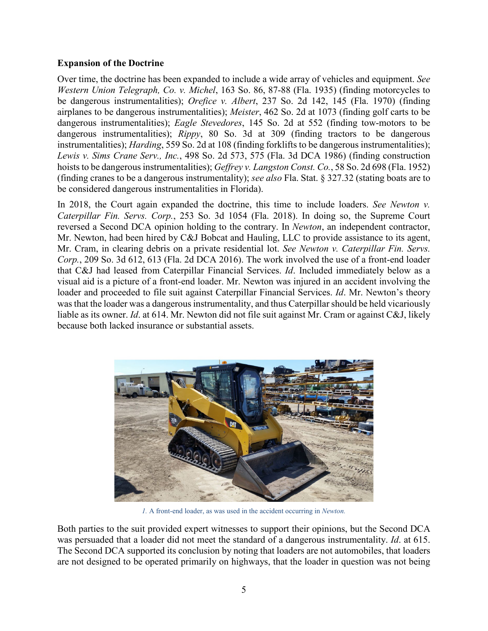## **Expansion of the Doctrine**

Over time, the doctrine has been expanded to include a wide array of vehicles and equipment. *See Western Union Telegraph, Co. v. Michel*, 163 So. 86, 87-88 (Fla. 1935) (finding motorcycles to be dangerous instrumentalities); *Orefice v. Albert*, 237 So. 2d 142, 145 (Fla. 1970) (finding airplanes to be dangerous instrumentalities); *Meister*, 462 So. 2d at 1073 (finding golf carts to be dangerous instrumentalities); *Eagle Stevedores*, 145 So. 2d at 552 (finding tow-motors to be dangerous instrumentalities); *Rippy*, 80 So. 3d at 309 (finding tractors to be dangerous instrumentalities); *Harding*, 559 So. 2d at 108 (finding forklifts to be dangerous instrumentalities); *Lewis v. Sims Crane Serv., Inc.*, 498 So. 2d 573, 575 (Fla. 3d DCA 1986) (finding construction hoists to be dangerous instrumentalities); *Geffrey v. Langston Const. Co.*, 58 So. 2d 698 (Fla. 1952) (finding cranes to be a dangerous instrumentality); *see also* Fla. Stat. § 327.32 (stating boats are to be considered dangerous instrumentalities in Florida).

In 2018, the Court again expanded the doctrine, this time to include loaders. *See Newton v. Caterpillar Fin. Servs. Corp.*, 253 So. 3d 1054 (Fla. 2018). In doing so, the Supreme Court reversed a Second DCA opinion holding to the contrary. In *Newton*, an independent contractor, Mr. Newton, had been hired by C&J Bobcat and Hauling, LLC to provide assistance to its agent, Mr. Cram, in clearing debris on a private residential lot. *See Newton v. Caterpillar Fin. Servs. Corp.*, 209 So. 3d 612, 613 (Fla. 2d DCA 2016). The work involved the use of a front-end loader that C&J had leased from Caterpillar Financial Services. *Id*. Included immediately below as a visual aid is a picture of a front-end loader. Mr. Newton was injured in an accident involving the loader and proceeded to file suit against Caterpillar Financial Services. *Id*. Mr. Newton's theory was that the loader was a dangerous instrumentality, and thus Caterpillar should be held vicariously liable as its owner. *Id*. at 614. Mr. Newton did not file suit against Mr. Cram or against C&J, likely because both lacked insurance or substantial assets.



*1.* A front-end loader, as was used in the accident occurring in *Newton.*

Both parties to the suit provided expert witnesses to support their opinions, but the Second DCA was persuaded that a loader did not meet the standard of a dangerous instrumentality. *Id*. at 615. The Second DCA supported its conclusion by noting that loaders are not automobiles, that loaders are not designed to be operated primarily on highways, that the loader in question was not being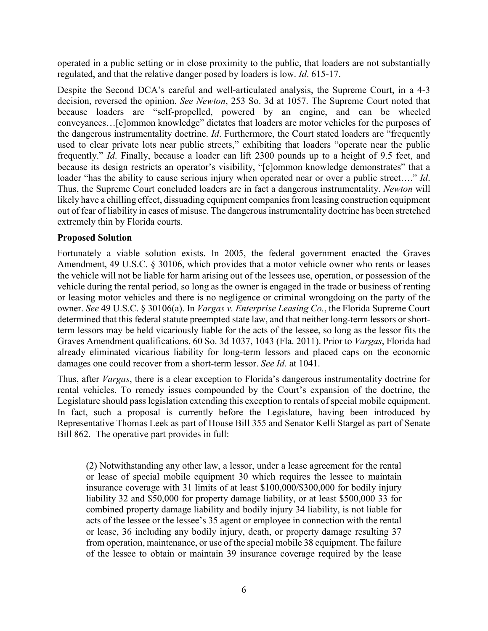operated in a public setting or in close proximity to the public, that loaders are not substantially regulated, and that the relative danger posed by loaders is low. *Id*. 615-17.

Despite the Second DCA's careful and well-articulated analysis, the Supreme Court, in a 4-3 decision, reversed the opinion. *See Newton*, 253 So. 3d at 1057. The Supreme Court noted that because loaders are "self-propelled, powered by an engine, and can be wheeled conveyances…[c]ommon knowledge" dictates that loaders are motor vehicles for the purposes of the dangerous instrumentality doctrine. *Id*. Furthermore, the Court stated loaders are "frequently used to clear private lots near public streets," exhibiting that loaders "operate near the public frequently." *Id*. Finally, because a loader can lift 2300 pounds up to a height of 9.5 feet, and because its design restricts an operator's visibility, "[c]ommon knowledge demonstrates" that a loader "has the ability to cause serious injury when operated near or over a public street…." *Id*. Thus, the Supreme Court concluded loaders are in fact a dangerous instrumentality. *Newton* will likely have a chilling effect, dissuading equipment companies from leasing construction equipment out of fear of liability in cases of misuse. The dangerous instrumentality doctrine has been stretched extremely thin by Florida courts.

## **Proposed Solution**

Fortunately a viable solution exists. In 2005, the federal government enacted the Graves Amendment, 49 U.S.C. § 30106, which provides that a motor vehicle owner who rents or leases the vehicle will not be liable for harm arising out of the lessees use, operation, or possession of the vehicle during the rental period, so long as the owner is engaged in the trade or business of renting or leasing motor vehicles and there is no negligence or criminal wrongdoing on the party of the owner. *See* 49 U.S.C. § 30106(a). In *Vargas v. Enterprise Leasing Co.*, the Florida Supreme Court determined that this federal statute preempted state law, and that neither long-term lessors or shortterm lessors may be held vicariously liable for the acts of the lessee, so long as the lessor fits the Graves Amendment qualifications. 60 So. 3d 1037, 1043 (Fla. 2011). Prior to *Vargas*, Florida had already eliminated vicarious liability for long-term lessors and placed caps on the economic damages one could recover from a short-term lessor. *See Id*. at 1041.

Thus, after *Vargas*, there is a clear exception to Florida's dangerous instrumentality doctrine for rental vehicles. To remedy issues compounded by the Court's expansion of the doctrine, the Legislature should pass legislation extending this exception to rentals of special mobile equipment. In fact, such a proposal is currently before the Legislature, having been introduced by Representative Thomas Leek as part of House Bill 355 and Senator Kelli Stargel as part of Senate Bill 862. The operative part provides in full:

(2) Notwithstanding any other law, a lessor, under a lease agreement for the rental or lease of special mobile equipment 30 which requires the lessee to maintain insurance coverage with 31 limits of at least \$100,000/\$300,000 for bodily injury liability 32 and \$50,000 for property damage liability, or at least \$500,000 33 for combined property damage liability and bodily injury 34 liability, is not liable for acts of the lessee or the lessee's 35 agent or employee in connection with the rental or lease, 36 including any bodily injury, death, or property damage resulting 37 from operation, maintenance, or use of the special mobile 38 equipment. The failure of the lessee to obtain or maintain 39 insurance coverage required by the lease